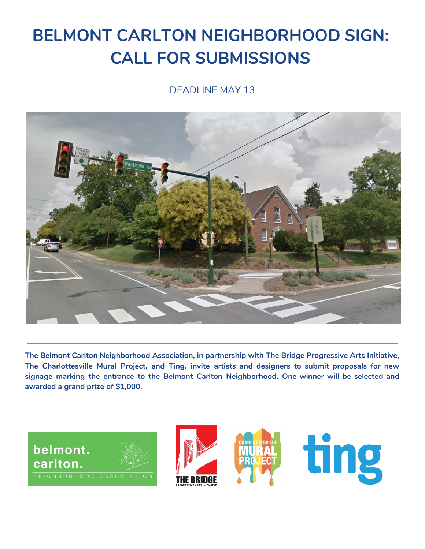# **BELMONT CARLTON NEIGHBORHOOD SIGN: CALL FOR SUBMISSIONS**

### DEADLINE MAY 13



**The Belmont Carlton Neighborhood Association, in partnership with The Bridge Progressive Arts Initiative, The Charlottesville Mural Project, and Ting, invite artists and designers to submit proposals for new signage marking the entrance to the Belmont Carlton Neighborhood. One winner will be selected and awarded a grand prize of \$1,000.**